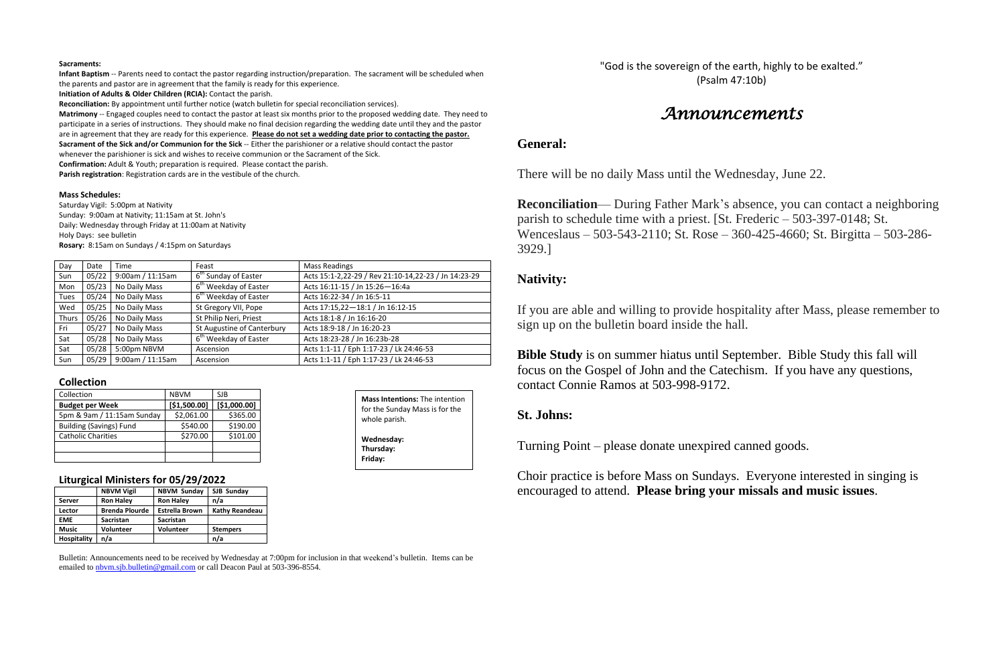#### **Sacraments:**

**Infant Baptism** -- Parents need to contact the pastor regarding instruction/preparation. The sacrament will be scheduled when the parents and pastor are in agreement that the family is ready for this experience.

**Initiation of Adults & Older Children (RCIA):** Contact the parish.

**Reconciliation:** By appointment until further notice (watch bulletin for special reconciliation services).

**Matrimony** -- Engaged couples need to contact the pastor at least six months prior to the proposed wedding date. They need to participate in a series of instructions. They should make no final decision regarding the wedding date until they and the pastor are in agreement that they are ready for this experience. **Please do not set a wedding date prior to contacting the pastor. Sacrament of the Sick and/or Communion for the Sick** -- Either the parishioner or a relative should contact the pastor

whenever the parishioner is sick and wishes to receive communion or the Sacrament of the Sick.

**Confirmation:** Adult & Youth; preparation is required. Please contact the parish.

**Parish registration**: Registration cards are in the vestibule of the church.

#### **Mass Schedules:**

Saturday Vigil: 5:00pm at Nativity Sunday: 9:00am at Nativity; 11:15am at St. John's Daily: Wednesday through Friday at 11:00am at Nativity Holy Days: see bulletin **Rosary:** 8:15am on Sundays / 4:15pm on Saturdays

| Day          | Date  | Time             | Feast                             | <b>Mass Readings</b>                                 |
|--------------|-------|------------------|-----------------------------------|------------------------------------------------------|
| Sun          | 05/22 | 9:00am / 11:15am | 6 <sup>th</sup> Sunday of Easter  | Acts 15:1-2,22-29 / Rev 21:10-14,22-23 / Jn 14:23-29 |
| Mon          | 05/23 | No Daily Mass    | 6 <sup>th</sup> Weekday of Easter | Acts 16:11-15 / Jn 15:26-16:4a                       |
| <b>Tues</b>  | 05/24 | No Daily Mass    | 6 <sup>th</sup> Weekday of Easter | Acts 16:22-34 / Jn 16:5-11                           |
| Wed          | 05/25 | No Daily Mass    | St Gregory VII, Pope              | Acts 17:15,22-18:1 / Jn 16:12-15                     |
| <b>Thurs</b> | 05/26 | No Daily Mass    | St Philip Neri, Priest            | Acts 18:1-8 / Jn 16:16-20                            |
| Fri          | 05/27 | No Daily Mass    | St Augustine of Canterbury        | Acts 18:9-18 / Jn 16:20-23                           |
| Sat          | 05/28 | No Daily Mass    | 6 <sup>th</sup> Weekday of Easter | Acts 18:23-28 / Jn 16:23b-28                         |
| Sat          | 05/28 | 5:00pm NBVM      | Ascension                         | Acts 1:1-11 / Eph 1:17-23 / Lk 24:46-53              |
| Sun          | 05/29 | 9:00am / 11:15am | Ascension                         | Acts 1:1-11 / Eph 1:17-23 / Lk 24:46-53              |

#### **Collection**

| Collection                     | <b>NBVM</b>  | <b>SJB</b>   |
|--------------------------------|--------------|--------------|
| <b>Budget per Week</b>         | [\$1,500.00] | [\$1,000.00] |
| 5pm & 9am / 11:15am Sunday     | \$2,061.00   | \$365.00     |
| <b>Building (Savings) Fund</b> | \$540.00     | \$190.00     |
| <b>Catholic Charities</b>      | \$270.00     | \$101.00     |
|                                |              |              |
|                                |              |              |

### **Liturgical Ministers for 05/29/2022**

| . .                |                       |                       |                       |  |  |
|--------------------|-----------------------|-----------------------|-----------------------|--|--|
|                    | <b>NBVM Vigil</b>     | <b>NBVM Sunday</b>    | SJB Sunday            |  |  |
| Server             | <b>Ron Haley</b>      | <b>Ron Haley</b>      | n/a                   |  |  |
| Lector             | <b>Brenda Plourde</b> | <b>Estrella Brown</b> | <b>Kathy Reandeau</b> |  |  |
| <b>EME</b>         | <b>Sacristan</b>      | <b>Sacristan</b>      |                       |  |  |
| <b>Music</b>       | Volunteer             | <b>Volunteer</b>      | <b>Stempers</b>       |  |  |
| <b>Hospitality</b> | n/a                   |                       | n/a                   |  |  |
|                    |                       |                       |                       |  |  |

Bulletin: Announcements need to be received by Wednesday at 7:00pm for inclusion in that weekend's bulletin. Items can be emailed to [nbvm.sjb.bulletin@gmail.com](mailto:nbvm.sjb.bulletin@gmail.com) or call Deacon Paul at 503-396-8554.

"God is the sovereign of the earth, highly to be exalted." (Psalm 47:10b)

# *Announcements*

## **General:**

There will be no daily Mass until the Wednesday, June 22.

**Reconciliation**— During Father Mark's absence, you can contact a neighboring parish to schedule time with a priest. [St. Frederic – 503-397-0148; St. Wenceslaus – 503-543-2110; St. Rose – 360-425-4660; St. Birgitta – 503-286- 3929.]

## **Nativity:**

If you are able and willing to provide hospitality after Mass, please remember to sign up on the bulletin board inside the hall.

**Bible Study** is on summer hiatus until September. Bible Study this fall will focus on the Gospel of John and the Catechism. If you have any questions, contact Connie Ramos at 503-998-9172.

## **St. Johns:**

Turning Point – please donate unexpired canned goods.

Choir practice is before Mass on Sundays. Everyone interested in singing is encouraged to attend. **Please bring your missals and music issues**.

**Mass Intentions:** The intention for the Sunday Mass is for the whole parish. **Wednesday: Thursday: Friday:**